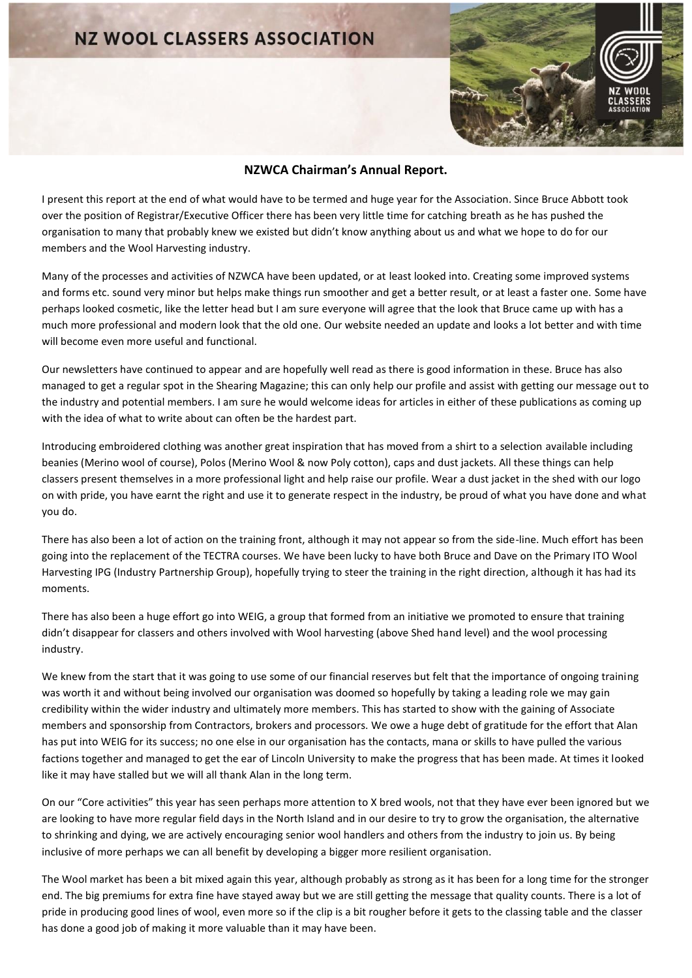## **NZ WOOL CLASSERS ASSOCIATION**



## **NZWCA Chairman's Annual Report.**

I present this report at the end of what would have to be termed and huge year for the Association. Since Bruce Abbott took over the position of Registrar/Executive Officer there has been very little time for catching breath as he has pushed the organisation to many that probably knew we existed but didn't know anything about us and what we hope to do for our members and the Wool Harvesting industry.

Many of the processes and activities of NZWCA have been updated, or at least looked into. Creating some improved systems and forms etc. sound very minor but helps make things run smoother and get a better result, or at least a faster one. Some have perhaps looked cosmetic, like the letter head but I am sure everyone will agree that the look that Bruce came up with has a much more professional and modern look that the old one. Our website needed an update and looks a lot better and with time will become even more useful and functional.

Our newsletters have continued to appear and are hopefully well read as there is good information in these. Bruce has also managed to get a regular spot in the Shearing Magazine; this can only help our profile and assist with getting our message out to the industry and potential members. I am sure he would welcome ideas for articles in either of these publications as coming up with the idea of what to write about can often be the hardest part.

Introducing embroidered clothing was another great inspiration that has moved from a shirt to a selection available including beanies (Merino wool of course), Polos (Merino Wool & now Poly cotton), caps and dust jackets. All these things can help classers present themselves in a more professional light and help raise our profile. Wear a dust jacket in the shed with our logo on with pride, you have earnt the right and use it to generate respect in the industry, be proud of what you have done and what you do.

There has also been a lot of action on the training front, although it may not appear so from the side-line. Much effort has been going into the replacement of the TECTRA courses. We have been lucky to have both Bruce and Dave on the Primary ITO Wool Harvesting IPG (Industry Partnership Group), hopefully trying to steer the training in the right direction, although it has had its moments.

There has also been a huge effort go into WEIG, a group that formed from an initiative we promoted to ensure that training didn't disappear for classers and others involved with Wool harvesting (above Shed hand level) and the wool processing industry.

We knew from the start that it was going to use some of our financial reserves but felt that the importance of ongoing training was worth it and without being involved our organisation was doomed so hopefully by taking a leading role we may gain credibility within the wider industry and ultimately more members. This has started to show with the gaining of Associate members and sponsorship from Contractors, brokers and processors. We owe a huge debt of gratitude for the effort that Alan has put into WEIG for its success; no one else in our organisation has the contacts, mana or skills to have pulled the various factions together and managed to get the ear of Lincoln University to make the progress that has been made. At times it looked like it may have stalled but we will all thank Alan in the long term.

On our "Core activities" this year has seen perhaps more attention to X bred wools, not that they have ever been ignored but we are looking to have more regular field days in the North Island and in our desire to try to grow the organisation, the alternative to shrinking and dying, we are actively encouraging senior wool handlers and others from the industry to join us. By being inclusive of more perhaps we can all benefit by developing a bigger more resilient organisation.

The Wool market has been a bit mixed again this year, although probably as strong as it has been for a long time for the stronger end. The big premiums for extra fine have stayed away but we are still getting the message that quality counts. There is a lot of pride in producing good lines of wool, even more so if the clip is a bit rougher before it gets to the classing table and the classer has done a good job of making it more valuable than it may have been.